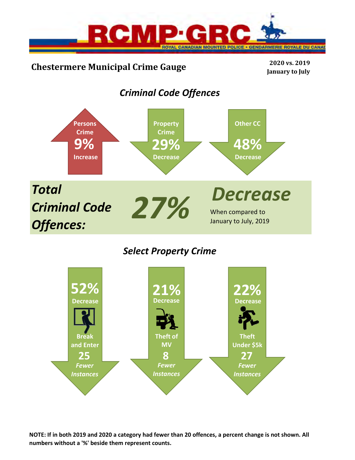

# **Chestermere Municipal Crime Gauge <sup>2020</sup> vs. <sup>2019</sup>**

**January to July**

# *Criminal Code Offences*



## *Select Property Crime*



**NOTE: If in both 2019 and 2020 a category had fewer than 20 offences, a percent change is not shown. All numbers without a '%' beside them represent counts.**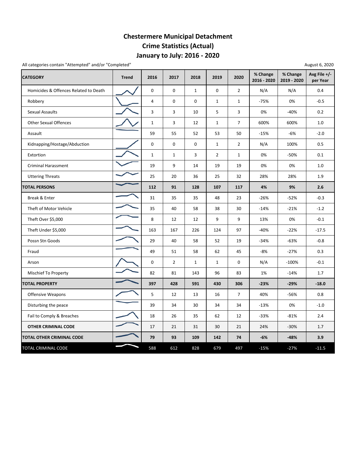## **January to July: 2016 ‐ 2020 Chestermere Municipal Detachment Crime Statistics (Actual)**

All categories contain "Attempted" and/or "Completed"

| August 6, 2020 |  |  |
|----------------|--|--|
|----------------|--|--|

| <b>CATEGORY</b>                       | <b>Trend</b> | 2016           | 2017           | 2018         | 2019           | 2020           | % Change<br>2016 - 2020 | % Change<br>2019 - 2020 | Avg File $+/-$<br>per Year |
|---------------------------------------|--------------|----------------|----------------|--------------|----------------|----------------|-------------------------|-------------------------|----------------------------|
| Homicides & Offences Related to Death |              | 0              | 0              | $\mathbf{1}$ | $\mathbf 0$    | $\overline{2}$ | N/A                     | N/A                     | 0.4                        |
| Robbery                               |              | $\overline{4}$ | 0              | 0            | $\mathbf{1}$   | $\mathbf{1}$   | $-75%$                  | 0%                      | $-0.5$                     |
| Sexual Assaults                       |              | 3              | 3              | 10           | 5              | 3              | 0%                      | $-40%$                  | 0.2                        |
| <b>Other Sexual Offences</b>          |              | $\mathbf 1$    | 3              | 12           | $\mathbf{1}$   | $\overline{7}$ | 600%                    | 600%                    | $1.0\,$                    |
| Assault                               |              | 59             | 55             | 52           | 53             | 50             | $-15%$                  | $-6%$                   | $-2.0$                     |
| Kidnapping/Hostage/Abduction          |              | 0              | 0              | 0            | $\mathbf{1}$   | $\overline{2}$ | N/A                     | 100%                    | 0.5                        |
| Extortion                             |              | $\mathbf{1}$   | $\mathbf{1}$   | 3            | $\overline{2}$ | $\mathbf{1}$   | 0%                      | -50%                    | 0.1                        |
| <b>Criminal Harassment</b>            |              | 19             | 9              | 14           | 19             | 19             | 0%                      | 0%                      | 1.0                        |
| <b>Uttering Threats</b>               |              | 25             | 20             | 36           | 25             | 32             | 28%                     | 28%                     | 1.9                        |
| <b>TOTAL PERSONS</b>                  |              | 112            | 91             | 128          | 107            | 117            | 4%                      | 9%                      | 2.6                        |
| Break & Enter                         |              | 31             | 35             | 35           | 48             | 23             | $-26%$                  | $-52%$                  | $-0.3$                     |
| Theft of Motor Vehicle                |              | 35             | 40             | 58           | 38             | 30             | $-14%$                  | $-21%$                  | $-1.2$                     |
| Theft Over \$5,000                    |              | 8              | 12             | 12           | 9              | 9              | 13%                     | 0%                      | $-0.1$                     |
| Theft Under \$5,000                   |              | 163            | 167            | 226          | 124            | 97             | -40%                    | $-22%$                  | $-17.5$                    |
| Possn Stn Goods                       |              | 29             | 40             | 58           | 52             | 19             | $-34%$                  | $-63%$                  | $-0.8$                     |
| Fraud                                 |              | 49             | 51             | 58           | 62             | 45             | $-8%$                   | $-27%$                  | 0.3                        |
| Arson                                 |              | 0              | $\overline{2}$ | $\mathbf{1}$ | $\mathbf{1}$   | 0              | N/A                     | $-100%$                 | $-0.1$                     |
| <b>Mischief To Property</b>           |              | 82             | 81             | 143          | 96             | 83             | 1%                      | $-14%$                  | 1.7                        |
| <b>TOTAL PROPERTY</b>                 |              | 397            | 428            | 591          | 430            | 306            | $-23%$                  | $-29%$                  | $-18.0$                    |
| <b>Offensive Weapons</b>              |              | 5              | 12             | 13           | 16             | $\overline{7}$ | 40%                     | $-56%$                  | 0.8                        |
| Disturbing the peace                  |              | 39             | 34             | 30           | 34             | 34             | $-13%$                  | 0%                      | $-1.0$                     |
| Fail to Comply & Breaches             |              | 18             | 26             | 35           | 62             | 12             | $-33%$                  | $-81%$                  | 2.4                        |
| <b>OTHER CRIMINAL CODE</b>            |              | 17             | 21             | 31           | 30             | 21             | 24%                     | $-30%$                  | 1.7                        |
| TOTAL OTHER CRIMINAL CODE             |              | 79             | 93             | 109          | 142            | 74             | $-6%$                   | $-48%$                  | 3.9                        |
| TOTAL CRIMINAL CODE                   |              | 588            | 612            | 828          | 679            | 497            | $-15%$                  | $-27%$                  | $-11.5$                    |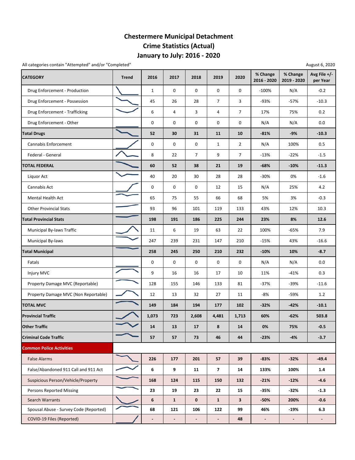### **January to July: 2016 ‐ 2020 Chestermere Municipal Detachment Crime Statistics (Actual)**

All categories contain "Attempted" and/or "Completed" and and all categories contain "Attempted" and and and and and and all categories contain "Attempted" and and all categories contain "Attempted" and all categories cont

| <b>CATEGORY</b>                        | <b>Trend</b> | 2016                     | 2017                     | 2018           | 2019                     | 2020           | % Change<br>2016 - 2020 | % Change<br>2019 - 2020 | Avg File +/-<br>per Year |
|----------------------------------------|--------------|--------------------------|--------------------------|----------------|--------------------------|----------------|-------------------------|-------------------------|--------------------------|
| Drug Enforcement - Production          |              | $\mathbf{1}$             | 0                        | 0              | $\mathsf 0$              | 0              | $-100%$                 | N/A                     | $-0.2$                   |
| Drug Enforcement - Possession          |              | 45                       | 26                       | 28             | $\overline{7}$           | 3              | $-93%$                  | $-57%$                  | $-10.3$                  |
| Drug Enforcement - Trafficking         |              | 6                        | 4                        | 3              | 4                        | $\overline{7}$ | 17%                     | 75%                     | 0.2                      |
| Drug Enforcement - Other               |              | 0                        | 0                        | 0              | 0                        | 0              | N/A                     | N/A                     | $0.0\,$                  |
| <b>Total Drugs</b>                     |              | 52                       | 30                       | 31             | 11                       | 10             | $-81%$                  | $-9%$                   | $-10.3$                  |
| Cannabis Enforcement                   |              | 0                        | 0                        | 0              | $\mathbf{1}$             | $\overline{2}$ | N/A                     | 100%                    | 0.5                      |
| Federal - General                      |              | 8                        | 22                       | 7              | 9                        | $\overline{7}$ | $-13%$                  | $-22%$                  | $-1.5$                   |
| <b>TOTAL FEDERAL</b>                   |              | 60                       | 52                       | 38             | 21                       | 19             | $-68%$                  | $-10%$                  | $-11.3$                  |
| Liquor Act                             |              | 40                       | 20                       | 30             | 28                       | 28             | $-30%$                  | 0%                      | $-1.6$                   |
| Cannabis Act                           |              | 0                        | 0                        | 0              | 12                       | 15             | N/A                     | 25%                     | 4.2                      |
| <b>Mental Health Act</b>               |              | 65                       | 75                       | 55             | 66                       | 68             | 5%                      | 3%                      | $-0.3$                   |
| <b>Other Provincial Stats</b>          |              | 93                       | 96                       | 101            | 119                      | 133            | 43%                     | 12%                     | 10.3                     |
| <b>Total Provincial Stats</b>          |              | 198                      | 191                      | 186            | 225                      | 244            | 23%                     | 8%                      | 12.6                     |
| Municipal By-laws Traffic              |              | 11                       | 6                        | 19             | 63                       | 22             | 100%                    | $-65%$                  | 7.9                      |
| Municipal By-laws                      |              | 247                      | 239                      | 231            | 147                      | 210            | $-15%$                  | 43%                     | $-16.6$                  |
| <b>Total Municipal</b>                 |              | 258                      | 245                      | 250            | 210                      | 232            | $-10%$                  | 10%                     | $-8.7$                   |
| Fatals                                 |              | 0                        | 0                        | 0              | 0                        | 0              | N/A                     | N/A                     | $0.0\,$                  |
| Injury MVC                             |              | 9                        | 16                       | 16             | 17                       | 10             | 11%                     | $-41%$                  | 0.3                      |
| Property Damage MVC (Reportable)       |              | 128                      | 155                      | 146            | 133                      | 81             | -37%                    | $-39%$                  | $-11.6$                  |
| Property Damage MVC (Non Reportable)   |              | 12                       | 13                       | 32             | 27                       | 11             | $-8%$                   | -59%                    | 1.2                      |
| <b>TOTAL MVC</b>                       |              | 149                      | 184                      | 194            | 177                      | 102            | $-32%$                  | $-42%$                  | $-10.1$                  |
| <b>Provincial Traffic</b>              |              | 1,073                    | 723                      | 2,608          | 4,481                    | 1,713          | 60%                     | $-62%$                  | 503.8                    |
| <b>Other Traffic</b>                   |              | 14                       | 13                       | 17             | 8                        | 14             | 0%                      | 75%                     | $-0.5$                   |
| <b>Criminal Code Traffic</b>           |              | 57                       | 57                       | 73             | 46                       | 44             | -23%                    | -4%                     | $-3.7$                   |
| <b>Common Police Activities</b>        |              |                          |                          |                |                          |                |                         |                         |                          |
| <b>False Alarms</b>                    |              | 226                      | 177                      | 201            | 57                       | 39             | $-83%$                  | $-32%$                  | $-49.4$                  |
| False/Abandoned 911 Call and 911 Act   |              | 6                        | 9                        | 11             | $\overline{7}$           | 14             | 133%                    | 100%                    | 1.4                      |
| Suspicious Person/Vehicle/Property     |              | 168                      | 124                      | 115            | 150                      | 132            | $-21%$                  | $-12%$                  | $-4.6$                   |
| <b>Persons Reported Missing</b>        |              | 23                       | 19                       | 23             | 22                       | 15             | $-35%$                  | -32%                    | $-1.3$                   |
| Search Warrants                        |              | 6                        | $\mathbf{1}$             | 0              | $\mathbf{1}$             | 3              | -50%                    | 200%                    | $-0.6$                   |
| Spousal Abuse - Survey Code (Reported) |              | 68                       | 121                      | 106            | 122                      | 99             | 46%                     | $-19%$                  | 6.3                      |
| COVID-19 Files (Reported)              |              | $\overline{\phantom{a}}$ | $\overline{\phantom{a}}$ | $\blacksquare$ | $\overline{\phantom{a}}$ | 48             | $\blacksquare$          | $\blacksquare$          | $\sim$                   |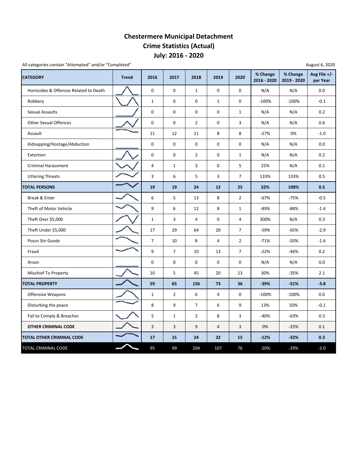## **July: 2016 ‐ 2020 Chestermere Municipal Detachment Crime Statistics (Actual)**

All categories contain "Attempted" and/or "Completed"

| <b>CATEGORY</b>                       | <b>Trend</b> | 2016           | 2017           | 2018           | 2019           | 2020           | % Change<br>2016 - 2020 | % Change<br>2019 - 2020 | Avg File $+/-$<br>per Year |
|---------------------------------------|--------------|----------------|----------------|----------------|----------------|----------------|-------------------------|-------------------------|----------------------------|
| Homicides & Offences Related to Death |              | 0              | 0              | $\mathbf{1}$   | $\mathbf 0$    | 0              | N/A                     | N/A                     | 0.0                        |
| Robbery                               |              | $\mathbf{1}$   | 0              | 0              | $\mathbf{1}$   | 0              | $-100%$                 | $-100%$                 | $-0.1$                     |
| <b>Sexual Assaults</b>                |              | 0              | 0              | 0              | $\mathbf 0$    | $\mathbf{1}$   | N/A                     | N/A                     | 0.2                        |
| <b>Other Sexual Offences</b>          |              | $\mathbf 0$    | $\pmb{0}$      | $\overline{2}$ | $\mathbf 0$    | 3              | N/A                     | N/A                     | 0.6                        |
| Assault                               |              | 11             | 12             | 11             | 8              | 8              | $-27%$                  | 0%                      | $-1.0$                     |
| Kidnapping/Hostage/Abduction          |              | $\mathbf 0$    | 0              | 0              | 0              | 0              | N/A                     | N/A                     | 0.0                        |
| Extortion                             |              | 0              | 0              | $\overline{2}$ | $\mathbf 0$    | $\mathbf{1}$   | N/A                     | N/A                     | 0.2                        |
| <b>Criminal Harassment</b>            |              | $\overline{4}$ | $\mathbf 1$    | 3              | $\mathbf 0$    | 5              | 25%                     | N/A                     | 0.1                        |
| <b>Uttering Threats</b>               |              | 3              | 6              | 5              | 3              | $\overline{7}$ | 133%                    | 133%                    | 0.5                        |
| <b>TOTAL PERSONS</b>                  |              | 19             | 19             | 24             | 12             | 25             | 32%                     | 108%                    | 0.5                        |
| Break & Enter                         |              | 6              | 5              | 13             | 8              | $\overline{2}$ | $-67%$                  | $-75%$                  | $-0.5$                     |
| Theft of Motor Vehicle                |              | 9              | 6              | 12             | 8              | $\mathbf{1}$   | $-89%$                  | -88%                    | $-1.4$                     |
| Theft Over \$5,000                    |              | $\mathbf{1}$   | 3              | 4              | $\mathbf 0$    | 4              | 300%                    | N/A                     | 0.3                        |
| Theft Under \$5,000                   |              | 17             | 29             | 64             | 20             | $\overline{7}$ | -59%                    | $-65%$                  | $-2.9$                     |
| Possn Stn Goods                       |              | $\overline{7}$ | 10             | 8              | $\overline{4}$ | $\overline{2}$ | $-71%$                  | $-50%$                  | $-1.6$                     |
| Fraud                                 |              | 9              | $\overline{7}$ | 10             | 13             | $\overline{7}$ | $-22%$                  | $-46%$                  | 0.2                        |
| Arson                                 |              | $\pmb{0}$      | 0              | 0              | $\mathbf 0$    | 0              | N/A                     | N/A                     | 0.0                        |
| Mischief To Property                  |              | 10             | 5              | 45             | 20             | 13             | 30%                     | $-35%$                  | 2.1                        |
| <b>TOTAL PROPERTY</b>                 |              | 59             | 65             | 156            | 73             | 36             | $-39%$                  | $-51%$                  | $-3.8$                     |
| Offensive Weapons                     |              | $\mathbf{1}$   | $\overline{2}$ | 6              | $\overline{4}$ | 0              | $-100%$                 | $-100%$                 | 0.0                        |
| Disturbing the peace                  |              | 8              | 9              | $\overline{7}$ | 6              | 9              | 13%                     | 50%                     | $-0.1$                     |
| Fail to Comply & Breaches             |              | 5              | $\mathbf{1}$   | $\overline{2}$ | 8              | 3              | $-40%$                  | $-63%$                  | 0.3                        |
| OTHER CRIMINAL CODE                   |              | $\overline{3}$ | 3              | 9              | $\overline{4}$ | 3              | 0%                      | $-25%$                  | 0.1                        |
| <b>TOTAL OTHER CRIMINAL CODE</b>      |              | 17             | 15             | 24             | 22             | 15             | $-12%$                  | $-32%$                  | 0.3                        |
| TOTAL CRIMINAL CODE                   |              | 95             | 99             | 204            | 107            | 76             | $-20%$                  | $-29%$                  | $-3.0$                     |

August 6, 2020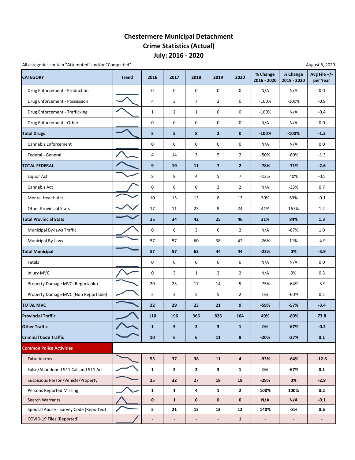### **July: 2016 ‐ 2020 Chestermere Municipal Detachment Crime Statistics (Actual)**

| All categories contain "Attempted" and/or "Completed" |              |                              |                          |                          |                          |                |                         |                         | August 6, 2020           |
|-------------------------------------------------------|--------------|------------------------------|--------------------------|--------------------------|--------------------------|----------------|-------------------------|-------------------------|--------------------------|
| <b>CATEGORY</b>                                       | <b>Trend</b> | 2016                         | 2017                     | 2018                     | 2019                     | 2020           | % Change<br>2016 - 2020 | % Change<br>2019 - 2020 | Avg File +/-<br>per Year |
| Drug Enforcement - Production                         |              | $\pmb{0}$                    | 0                        | 0                        | 0                        | 0              | N/A                     | N/A                     | 0.0                      |
| Drug Enforcement - Possession                         |              | 4                            | 3                        | $\overline{7}$           | $\overline{2}$           | 0              | $-100%$                 | $-100%$                 | $-0.9$                   |
| Drug Enforcement - Trafficking                        |              | $\mathbf{1}$                 | $\overline{2}$           | $\mathbf{1}$             | 0                        | 0              | $-100%$                 | N/A                     | $-0.4$                   |
| Drug Enforcement - Other                              |              | $\pmb{0}$                    | $\mathsf 0$              | 0                        | $\mathsf 0$              | 0              | N/A                     | N/A                     | 0.0                      |
| <b>Total Drugs</b>                                    |              | 5                            | 5                        | 8                        | $\overline{2}$           | $\bf{0}$       | $-100%$                 | $-100%$                 | $-1.3$                   |
| Cannabis Enforcement                                  |              | 0                            | 0                        | 0                        | 0                        | 0              | N/A                     | N/A                     | 0.0                      |
| Federal - General                                     |              | $\overline{4}$               | 14                       | 3                        | 5                        | $\overline{2}$ | -50%                    | $-60%$                  | $-1.3$                   |
| <b>TOTAL FEDERAL</b>                                  |              | $\boldsymbol{9}$             | 19                       | 11                       | $\overline{7}$           | $\overline{2}$ | $-78%$                  | $-71%$                  | $-2.6$                   |
| Liquor Act                                            |              | 8                            | 8                        | 4                        | 5                        | $\overline{7}$ | $-13%$                  | 40%                     | $-0.5$                   |
| Cannabis Act                                          |              | 0                            | 0                        | 0                        | 3                        | $\overline{2}$ | N/A                     | $-33%$                  | 0.7                      |
| Mental Health Act                                     |              | 10                           | 15                       | 13                       | 8                        | 13             | 30%                     | 63%                     | $-0.1$                   |
| <b>Other Provincial Stats</b>                         |              | 17                           | 11                       | 25                       | 9                        | 24             | 41%                     | 167%                    | 1.2                      |
| <b>Total Provincial Stats</b>                         |              | 35                           | 34                       | 42                       | 25                       | 46             | 31%                     | 84%                     | 1.3                      |
| Municipal By-laws Traffic                             |              | 0                            | 0                        | 3                        | 6                        | $\overline{2}$ | N/A                     | $-67%$                  | 1.0                      |
| Municipal By-laws                                     |              | 57                           | 57                       | 60                       | 38                       | 42             | $-26%$                  | 11%                     | $-4.9$                   |
| <b>Total Municipal</b>                                |              | 57                           | 57                       | 63                       | 44                       | 44             | $-23%$                  | 0%                      | $-3.9$                   |
| Fatals                                                |              | 0                            | $\mathsf 0$              | 0                        | $\mathsf 0$              | 0              | N/A                     | N/A                     | $0.0\,$                  |
| Injury MVC                                            |              | $\pmb{0}$                    | 3                        | $\mathbf{1}$             | $\overline{2}$           | $\overline{2}$ | N/A                     | 0%                      | 0.3                      |
| Property Damage MVC (Reportable)                      |              | 20                           | 23                       | 17                       | 14                       | 5              | $-75%$                  | $-64%$                  | $-3.9$                   |
| Property Damage MVC (Non Reportable)                  |              | $\overline{2}$               | 3                        | 5                        | 5                        | $\overline{2}$ | 0%                      | $-60%$                  | 0.2                      |
| <b>TOTAL MVC</b>                                      |              | 22                           | 29                       | 23                       | 21                       | 9              | $-59%$                  | $-57%$                  | $-3.4$                   |
| <b>Provincial Traffic</b>                             |              | 110                          | 196                      | 366                      | 826                      | 164            | 49%                     | $-80%$                  | 73.8                     |
| <b>Other Traffic</b>                                  |              | $\mathbf{1}$                 | 5                        | $\overline{2}$           | 3                        | $\mathbf{1}$   | 0%                      | $-67%$                  | $-0.2$                   |
| <b>Criminal Code Traffic</b>                          |              | 10                           | 6                        | 6                        | <b>11</b>                | 8              | $-20%$                  | $-27%$                  | 0.1                      |
| <b>Common Police Activities</b>                       |              |                              |                          |                          |                          |                |                         |                         |                          |
| <b>False Alarms</b>                                   |              | 55                           | 37                       | 38                       | 11                       | 4              | $-93%$                  | $-64%$                  | $-12.8$                  |
| False/Abandoned 911 Call and 911 Act                  |              | $\mathbf{1}$                 | $\mathbf{2}$             | $\mathbf{2}$             | 3                        | $\mathbf{1}$   | 0%                      | $-67%$                  | 0.1                      |
| Suspicious Person/Vehicle/Property                    |              | 25                           | 32                       | 27                       | 18                       | 18             | $-28%$                  | 0%                      | $-2.8$                   |
| <b>Persons Reported Missing</b>                       |              | $\mathbf{1}$                 | $\mathbf{1}$             | 4                        | $\mathbf{1}$             | $\mathbf{2}$   | 100%                    | 100%                    | 0.2                      |
| Search Warrants                                       |              | $\mathbf 0$                  | $\mathbf{1}$             | 0                        | $\bf{0}$                 | $\mathbf 0$    | N/A                     | N/A                     | $-0.1$                   |
| Spousal Abuse - Survey Code (Reported)                |              | 5                            | 21                       | 15                       | 13                       | 12             | 140%                    | $-8%$                   | 0.6                      |
| COVID-19 Files (Reported)                             |              | $\qquad \qquad \blacksquare$ | $\overline{\phantom{a}}$ | $\overline{\phantom{a}}$ | $\overline{\phantom{a}}$ | $\mathbf{1}$   | $\blacksquare$          | $\blacksquare$          |                          |